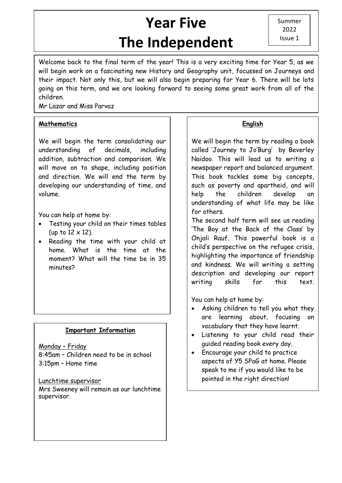# **Year Five The Independent**

Summer 2022 Issue 1

יי<br>י Welcome back to the final term of the year! This is a very exciting time for Year 5, as we will begin work on a fascinating new History and Geography unit, focussed on Journeys and their impact. Not only this, but we will also begin preparing for Year 6. There will be lots going on this term, and we are looking forward to seeing some great work from all of the children.

Mr Lazar and Miss Parvaz

## **Mathematics**

We will begin the term consolidating our understanding of decimals, including addition, subtraction and comparison. We will move on to shape, including position and direction. We will end the term by developing our understanding of time, and volume.

You can help at home by:

- Testing your child on their times tables (up to  $12 \times 12$ ).
- Reading the time with your child at home. What is the time at the moment? What will the time be in 35 minutes?

## **Important Information**

Monday – Friday 8:45am – Children need to be in school 3:15pm – Home time

Lunchtime supervisor

Mrs Sweeney will remain as our lunchtime supervisor.

## **English**

We will begin the term by reading a book called 'Journey to Jo'Burg' by Beverley Naidoo. This will lead us to writing a newspaper report and balanced argument. This book tackles some big concepts, such as poverty and apartheid, and will help the children develop an understanding of what life may be like for others.

The second half term will see us reading 'The Boy at the Back of the Class' by Onjali Rauf. This powerful book is a child's perspective on the refugee crisis, highlighting the importance of friendship and kindness. We will writing a setting description and developing our report writing skills for this text.

You can help at home by:

- Asking children to tell you what they are learning about, focusing on vocabulary that they have learnt.
- Listening to your child read their guided reading book every day.
- Encourage your child to practice aspects of Y5 SPaG at home. Please speak to me if you would like to be pointed in the right direction!